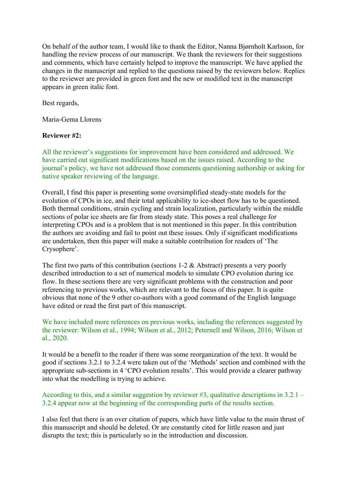On behalf of the author team, I would like to thank the Editor, Nanna Bjørnholt Karlsson, for handling the review process of our manuscript. We thank the reviewers for their suggestions and comments, which have certainly helped to improve the manuscript. We have applied the changes in the manuscript and replied to the questions raised by the reviewers below. Replies to the reviewer are provided in green font and the new or modified text in the manuscript appears in green italic font.

Best regards,

Maria-Gema Llorens

## **Reviewer #2:**

All the reviewer's suggestions for improvement have been considered and addressed. We have carried out significant modifications based on the issues raised. According to the journal's policy, we have not addressed those comments questioning authorship or asking for native speaker reviewing of the language.

Overall, I find this paper is presenting some oversimplified steady-state models for the evolution of CPOs in ice, and their total applicability to ice-sheet flow has to be questioned. Both thermal conditions, strain cycling and strain localization, particularly within the middle sections of polar ice sheets are far from steady state. This poses a real challenge for interpreting CPOs and is a problem that is not mentioned in this paper. In this contribution the authors are avoiding and fail to point out these issues. Only if significant modifications are undertaken, then this paper will make a suitable contribution for readers of 'The Crysophere'.

The first two parts of this contribution (sections 1-2 & Abstract) presents a very poorly described introduction to a set of numerical models to simulate CPO evolution during ice flow. In these sections there are very significant problems with the construction and poor referencing to previous works, which are relevant to the focus of this paper. It is quite obvious that none of the 9 other co-authors with a good command of the English language have edited or read the first part of this manuscript.

### We have included more references on previous works, including the references suggested by the reviewer: Wilson et al., 1994; Wilson et al., 2012; Peternell and Wilson, 2016; Wilson et al., 2020.

It would be a benefit to the reader if there was some reorganization of the text. It would be good if sections 3.2.1 to 3.2.4 were taken out of the 'Methods' section and combined with the appropriate sub-sections in 4 'CPO evolution results'. This would provide a clearer pathway into what the modelling is trying to achieve.

According to this, and a similar suggestion by reviewer #3, qualitative descriptions in  $3.2.1$  – 3.2.4 appear now at the beginning of the corresponding parts of the results section.

I also feel that there is an over citation of papers, which have little value to the main thrust of this manuscript and should be deleted. Or are constantly cited for little reason and just disrupts the text; this is particularly so in the introduction and discussion.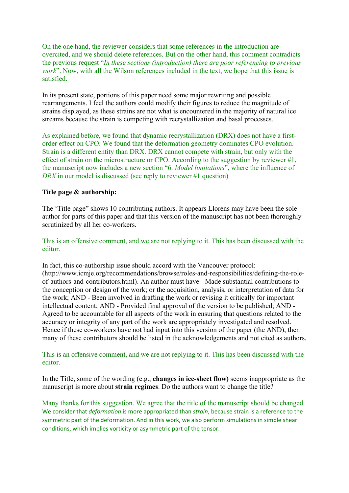On the one hand, the reviewer considers that some references in the introduction are overcited, and we should delete references. But on the other hand, this comment contradicts the previous request "*In these sections (introduction) there are poor referencing to previous work*". Now, with all the Wilson references included in the text, we hope that this issue is satisfied.

In its present state, portions of this paper need some major rewriting and possible rearrangements. I feel the authors could modify their figures to reduce the magnitude of strains displayed, as these strains are not what is encountered in the majority of natural ice streams because the strain is competing with recrystallization and basal processes.

As explained before, we found that dynamic recrystallization (DRX) does not have a firstorder effect on CPO. We found that the deformation geometry dominates CPO evolution. Strain is a different entity than DRX. DRX cannot compete with strain, but only with the effect of strain on the microstructure or CPO. According to the suggestion by reviewer #1, the manuscript now includes a new section "6. *Model limitations*", where the influence of *DRX* in our model is discussed (see reply to reviewer #1 question)

### **Title page & authorship:**

The 'Title page" shows 10 contributing authors. It appears Llorens may have been the sole author for parts of this paper and that this version of the manuscript has not been thoroughly scrutinized by all her co-workers.

This is an offensive comment, and we are not replying to it. This has been discussed with the editor.

In fact, this co-authorship issue should accord with the Vancouver protocol: (http://www.icmje.org/recommendations/browse/roles-and-responsibilities/defining-the-roleof-authors-and-contributors.html). An author must have - Made substantial contributions to the conception or design of the work; or the acquisition, analysis, or interpretation of data for the work; AND - Been involved in drafting the work or revising it critically for important intellectual content; AND - Provided final approval of the version to be published; AND - Agreed to be accountable for all aspects of the work in ensuring that questions related to the accuracy or integrity of any part of the work are appropriately investigated and resolved. Hence if these co-workers have not had input into this version of the paper (the AND), then many of these contributors should be listed in the acknowledgements and not cited as authors.

This is an offensive comment, and we are not replying to it. This has been discussed with the editor.

In the Title, some of the wording (e.g., **changes in ice-sheet flow)** seems inappropriate as the manuscript is more about **strain regimes**. Do the authors want to change the title?

Many thanks for this suggestion. We agree that the title of the manuscript should be changed. We consider that *deformation* is more appropriated than *strain*, because strain is a reference to the symmetric part of the deformation. And in this work, we also perform simulations in simple shear conditions, which implies vorticity or asymmetric part of the tensor.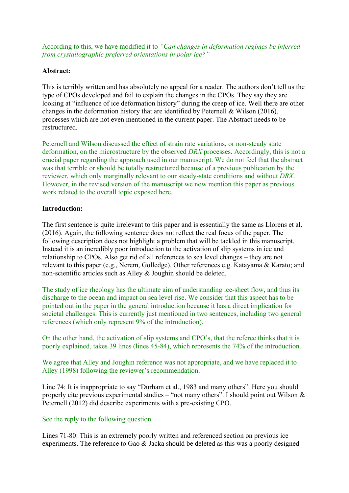According to this, we have modified it to *"Can changes in deformation regimes be inferred from crystallographic preferred orientations in polar ice?"*

### **Abstract:**

This is terribly written and has absolutely no appeal for a reader. The authors don't tell us the type of CPOs developed and fail to explain the changes in the CPOs. They say they are looking at "influence of ice deformation history" during the creep of ice. Well there are other changes in the deformation history that are identified by Peternell & Wilson (2016), processes which are not even mentioned in the current paper. The Abstract needs to be restructured.

Peternell and Wilson discussed the effect of strain rate variations, or non-steady state deformation, on the microstructure by the observed *DRX* processes. Accordingly, this is not a crucial paper regarding the approach used in our manuscript. We do not feel that the abstract was that terrible or should be totally restructured because of a previous publication by the reviewer, which only marginally relevant to our steady-state conditions and without *DRX*. However, in the revised version of the manuscript we now mention this paper as previous work related to the overall topic exposed here.

### **Introduction:**

The first sentence is quite irrelevant to this paper and is essentially the same as Llorens et al. (2016). Again, the following sentence does not reflect the real focus of the paper. The following description does not highlight a problem that will be tackled in this manuscript. Instead it is an incredibly poor introduction to the activation of slip systems in ice and relationship to CPOs. Also get rid of all references to sea level changes – they are not relevant to this paper (e.g., Nerem, Golledge). Other references e.g. Katayama & Karato; and non-scientific articles such as Alley & Joughin should be deleted.

The study of ice rheology has the ultimate aim of understanding ice-sheet flow, and thus its discharge to the ocean and impact on sea level rise. We consider that this aspect has to be pointed out in the paper in the general introduction because it has a direct implication for societal challenges. This is currently just mentioned in two sentences, including two general references (which only represent 9% of the introduction).

On the other hand, the activation of slip systems and CPO's, that the referee thinks that it is poorly explained, takes 39 lines (lines 45-84), which represents the 74% of the introduction.

We agree that Alley and Joughin reference was not appropriate, and we have replaced it to Alley (1998) following the reviewer's recommendation.

Line 74: It is inappropriate to say "Durham et al., 1983 and many others". Here you should properly cite previous experimental studies – "not many others". I should point out Wilson & Peternell (2012) did describe experiments with a pre-existing CPO.

## See the reply to the following question.

Lines 71-80: This is an extremely poorly written and referenced section on previous ice experiments. The reference to Gao & Jacka should be deleted as this was a poorly designed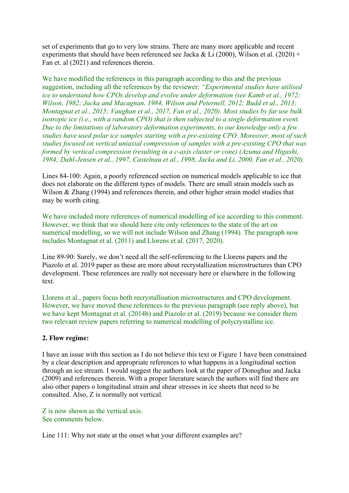set of experiments that go to very low strains. There are many more applicable and recent experiments that should have been referenced see Jacka & Li (2000), Wilson et al. (2020) + Fan et. al (2021) and references therein.

We have modified the references in this paragraph according to this and the previous suggestion, including all the references by the reviewer: *"Experimental studies have utilised ice to understand how CPOs develop and evolve under deformation (see Kamb et al., 1972; Wilson, 1982; Jacka and Macagnan, 1984, Wilson and Peternell, 2012; Budd et al., 2013; Montagnat et al., 2015; Vaughan et al., 2017, Fan et al., 2020). Most studies by far use bulk isotropic ice (i.e., with a random CPO) that is then subjected to a single deformation event. Due to the limitations of laboratory deformation experiments, to our knowledge only a few studies have used polar ice samples starting with a pre-existing CPO. Moreover, most of such studies focused on vertical uniaxial compression of samples with a pre-existing CPO that was formed by vertical compression (resulting in a c-axis cluster or cone) (Azuma and Higashi, 1984; Dahl-Jensen et al., 1997, Castelnau et al., 1998, Jacka and Li, 2000, Fan et al., 2020).*

Lines 84-100: Again, a poorly referenced section on numerical models applicable to ice that does not elaborate on the different types of models. There are small strain models such as Wilson & Zhang (1994) and references therein, and other higher strain model studies that may be worth citing.

We have included more references of numerical modelling of ice according to this comment. However, we think that we should here cite only references to the state of the art on numerical modelling, so we will not include Wilson and Zhang (1994). The paragraph now includes Montagnat et al. (2011) and Llorens et al. (2017, 2020).

Line 89-90: Surely, we don't need all the self-referencing to the Llorens papers and the Piazolo et al. 2019 paper as these are more about recrystallization microstructures than CPO development. These references are really not necessary here or elsewhere in the following text.

Llorens et al., papers focus both recrystallisation microstructures and CPO development. However, we have moved these references to the previous paragraph (see reply above), but we have kept Montagnat et al. (2014b) and Piazolo et al. (2019) because we consider them two relevant review papers referring to numerical modelling of polycrystalline ice.

## **2. Flow regime:**

I have an issue with this section as I do not believe this text or Figure 1 have been constrained by a clear description and appropriate references to what happens in a longitudinal section through an ice stream. I would suggest the authors look at the paper of Donoghue and Jacka (2009) and references therein. With a proper literature search the authors will find there are also other papers o longitudinal strain and shear stresses in ice sheets that need to be consulted. Also, Z is normally not vertical.

Z is now shown as the vertical axis. See comments below.

Line 111: Why not state at the onset what your different examples are?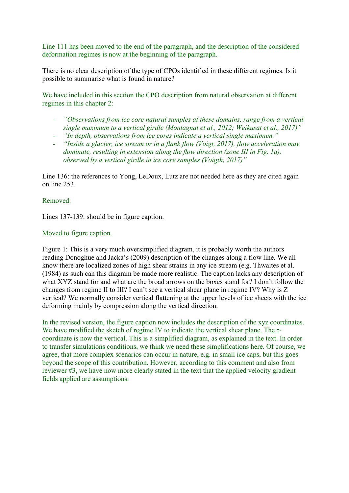Line 111 has been moved to the end of the paragraph, and the description of the considered deformation regimes is now at the beginning of the paragraph.

There is no clear description of the type of CPOs identified in these different regimes. Is it possible to summarise what is found in nature?

We have included in this section the CPO description from natural observation at different regimes in this chapter 2:

- *"Observations from ice core natural samples at these domains, range from a vertical single maximum to a vertical girdle (Montagnat et al., 2012; Weikusat et al., 2017)"*
- *"In depth, observations from ice cores indicate a vertical single maximum."*
- *"Inside a glacier, ice stream or in a flank flow (Voigt, 2017), flow acceleration may dominate, resulting in extension along the flow direction (zone III in Fig. 1a), observed by a vertical girdle in ice core samples (Voigth, 2017)"*

Line 136: the references to Yong, LeDoux, Lutz are not needed here as they are cited again on line 253.

## Removed.

Lines 137-139: should be in figure caption.

## Moved to figure caption.

Figure 1: This is a very much oversimplified diagram, it is probably worth the authors reading Donoghue and Jacka's (2009) description of the changes along a flow line. We all know there are localized zones of high shear strains in any ice stream (e.g. Thwaites et al. (1984) as such can this diagram be made more realistic. The caption lacks any description of what XYZ stand for and what are the broad arrows on the boxes stand for? I don't follow the changes from regime II to III? I can't see a vertical shear plane in regime IV? Why is Z vertical? We normally consider vertical flattening at the upper levels of ice sheets with the ice deforming mainly by compression along the vertical direction.

In the revised version, the figure caption now includes the description of the xyz coordinates. We have modified the sketch of regime IV to indicate the vertical shear plane. The *z*coordinate is now the vertical. This is a simplified diagram, as explained in the text. In order to transfer simulations conditions, we think we need these simplifications here. Of course, we agree, that more complex scenarios can occur in nature, e.g. in small ice caps, but this goes beyond the scope of this contribution. However, according to this comment and also from reviewer #3, we have now more clearly stated in the text that the applied velocity gradient fields applied are assumptions.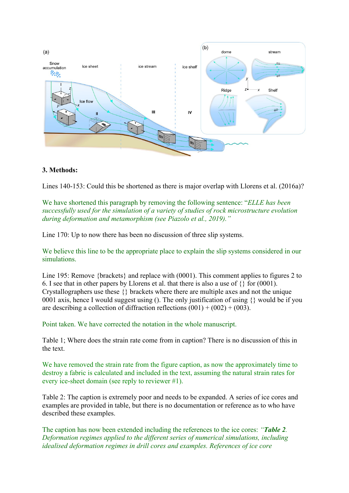

### **3. Methods:**

Lines 140-153: Could this be shortened as there is major overlap with Llorens et al. (2016a)?

We have shortened this paragraph by removing the following sentence: "*ELLE has been successfully used for the simulation of a variety of studies of rock microstructure evolution during deformation and metamorphism (see Piazolo et al., 2019)."*

Line 170: Up to now there has been no discussion of three slip systems.

We believe this line to be the appropriate place to explain the slip systems considered in our simulations.

Line 195: Remove {brackets} and replace with (0001). This comment applies to figures 2 to 6. I see that in other papers by Llorens et al. that there is also a use of  $\{\}$  for (0001). Crystallographers use these {} brackets where there are multiple axes and not the unique 0001 axis, hence I would suggest using (). The only justification of using {} would be if you are describing a collection of diffraction reflections  $(001) + (002) + (003)$ .

Point taken. We have corrected the notation in the whole manuscript.

Table 1; Where does the strain rate come from in caption? There is no discussion of this in the text.

We have removed the strain rate from the figure caption, as now the approximately time to destroy a fabric is calculated and included in the text, assuming the natural strain rates for every ice-sheet domain (see reply to reviewer #1).

Table 2: The caption is extremely poor and needs to be expanded. A series of ice cores and examples are provided in table, but there is no documentation or reference as to who have described these examples.

The caption has now been extended including the references to the ice cores: *"Table 2. Deformation regimes applied to the different series of numerical simulations, including idealised deformation regimes in drill cores and examples. References of ice core*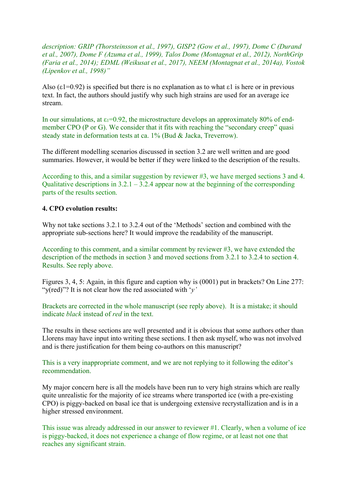*description: GRIP (Thorsteinsson et al., 1997), GISP2 (Gow et al., 1997), Dome C (Durand et al., 2007), Dome F (Azuma et al., 1999), Talos Dome (Montagnat et al., 2012), NorthGrip (Faria et al., 2014); EDML (Weikusat et al., 2017), NEEM (Montagnat et al., 2014a), Vostok (Lipenkov et al., 1998)"*

Also  $(\epsilon 1=0.92)$  is specified but there is no explanation as to what  $\epsilon 1$  is here or in previous text. In fact, the authors should justify why such high strains are used for an average ice stream.

In our simulations, at  $\varepsilon_1=0.92$ , the microstructure develops an approximately 80% of endmember CPO (P or G). We consider that it fits with reaching the "secondary creep" quasi steady state in deformation tests at ca. 1% (Bud & Jacka, Treverrow).

The different modelling scenarios discussed in section 3.2 are well written and are good summaries. However, it would be better if they were linked to the description of the results.

According to this, and a similar suggestion by reviewer #3, we have merged sections 3 and 4. Qualitative descriptions in  $3.2.1 - 3.2.4$  appear now at the beginning of the corresponding parts of the results section.

#### **4. CPO evolution results:**

Why not take sections 3.2.1 to 3.2.4 out of the 'Methods' section and combined with the appropriate sub-sections here? It would improve the readability of the manuscript.

According to this comment, and a similar comment by reviewer #3, we have extended the description of the methods in section 3 and moved sections from 3.2.1 to 3.2.4 to section 4. Results. See reply above.

Figures 3, 4, 5: Again, in this figure and caption why is (0001) put in brackets? On Line 277: "y(red)"? It is not clear how the red associated with '*y'* 

Brackets are corrected in the whole manuscript (see reply above). It is a mistake; it should indicate *black* instead of *red* in the text.

The results in these sections are well presented and it is obvious that some authors other than Llorens may have input into writing these sections. I then ask myself, who was not involved and is there justification for them being co-authors on this manuscript?

This is a very inappropriate comment, and we are not replying to it following the editor's recommendation.

My major concern here is all the models have been run to very high strains which are really quite unrealistic for the majority of ice streams where transported ice (with a pre-existing CPO) is piggy-backed on basal ice that is undergoing extensive recrystallization and is in a higher stressed environment.

This issue was already addressed in our answer to reviewer #1. Clearly, when a volume of ice is piggy-backed, it does not experience a change of flow regime, or at least not one that reaches any significant strain.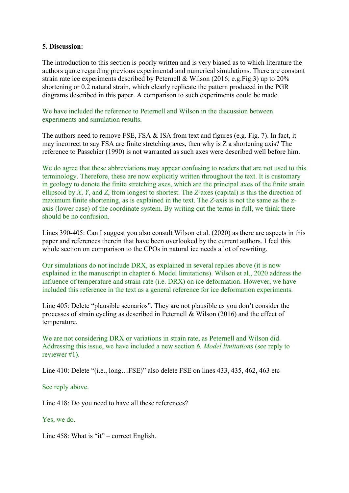#### **5. Discussion:**

The introduction to this section is poorly written and is very biased as to which literature the authors quote regarding previous experimental and numerical simulations. There are constant strain rate ice experiments described by Peternell & Wilson (2016; e.g.Fig.3) up to 20% shortening or 0.2 natural strain, which clearly replicate the pattern produced in the PGR diagrams described in this paper. A comparison to such experiments could be made.

We have included the reference to Peternell and Wilson in the discussion between experiments and simulation results.

The authors need to remove FSE, FSA & ISA from text and figures (e.g. Fig. 7). In fact, it may incorrect to say FSA are finite stretching axes, then why is Z a shortening axis? The reference to Passchier (1990) is not warranted as such axes were described well before him.

We do agree that these abbreviations may appear confusing to readers that are not used to this terminology. Therefore, these are now explicitly written throughout the text. It is customary in geology to denote the finite stretching axes, which are the principal axes of the finite strain ellipsoid by *X*, *Y*, and *Z*, from longest to shortest. The *Z*-axes (capital) is this the direction of maximum finite shortening, as is explained in the text. The *Z*-axis is not the same as the zaxis (lower case) of the coordinate system. By writing out the terms in full, we think there should be no confusion.

Lines 390-405: Can I suggest you also consult Wilson et al. (2020) as there are aspects in this paper and references therein that have been overlooked by the current authors. I feel this whole section on comparison to the CPOs in natural ice needs a lot of rewriting.

Our simulations do not include DRX, as explained in several replies above (it is now explained in the manuscript in chapter 6. Model limitations). Wilson et al., 2020 address the influence of temperature and strain-rate (i.e. DRX) on ice deformation. However, we have included this reference in the text as a general reference for ice deformation experiments.

Line 405: Delete "plausible scenarios". They are not plausible as you don't consider the processes of strain cycling as described in Peternell & Wilson (2016) and the effect of temperature.

We are not considering DRX or variations in strain rate, as Peternell and Wilson did. Addressing this issue, we have included a new section *6. Model limitations* (see reply to reviewer #1).

Line 410: Delete "(i.e., long…FSE)" also delete FSE on lines 433, 435, 462, 463 etc

## See reply above.

Line 418: Do you need to have all these references?

Yes, we do.

Line 458: What is "it" – correct English.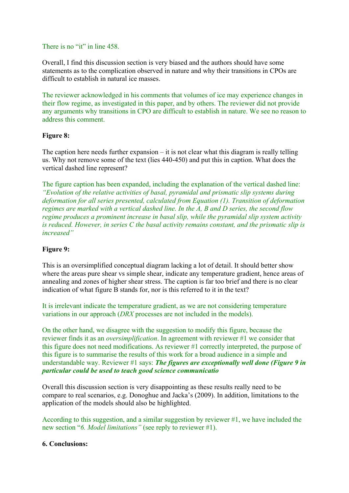### There is no "it" in line 458.

Overall, I find this discussion section is very biased and the authors should have some statements as to the complication observed in nature and why their transitions in CPOs are difficult to establish in natural ice masses.

The reviewer acknowledged in his comments that volumes of ice may experience changes in their flow regime, as investigated in this paper, and by others. The reviewer did not provide any arguments why transitions in CPO are difficult to establish in nature. We see no reason to address this comment.

## **Figure 8:**

The caption here needs further expansion  $-$  it is not clear what this diagram is really telling us. Why not remove some of the text (lies 440-450) and put this in caption. What does the vertical dashed line represent?

The figure caption has been expanded, including the explanation of the vertical dashed line: *"Evolution of the relative activities of basal, pyramidal and prismatic slip systems during deformation for all series presented, calculated from Equation (1). Transition of deformation regimes are marked with a vertical dashed line. In the A, B and D series, the second flow regime produces a prominent increase in basal slip, while the pyramidal slip system activity is reduced. However, in series C the basal activity remains constant, and the prismatic slip is increased"*

# **Figure 9:**

This is an oversimplified conceptual diagram lacking a lot of detail. It should better show where the areas pure shear vs simple shear, indicate any temperature gradient, hence areas of annealing and zones of higher shear stress. The caption is far too brief and there is no clear indication of what figure B stands for, nor is this referred to it in the text?

It is irrelevant indicate the temperature gradient, as we are not considering temperature variations in our approach (*DRX* processes are not included in the models).

On the other hand, we disagree with the suggestion to modify this figure, because the reviewer finds it as an *oversimplification*. In agreement with reviewer #1 we consider that this figure does not need modifications. As reviewer #1 correctly interpreted, the purpose of this figure is to summarise the results of this work for a broad audience in a simple and understandable way. Reviewer #1 says: *The figures are exceptionally well done (Figure 9 in particular could be used to teach good science communicatio*

Overall this discussion section is very disappointing as these results really need to be compare to real scenarios, e.g. Donoghue and Jacka's (2009). In addition, limitations to the application of the models should also be highlighted.

According to this suggestion, and a similar suggestion by reviewer #1, we have included the new section "*6. Model limitations"* (see reply to reviewer #1).

## **6. Conclusions:**